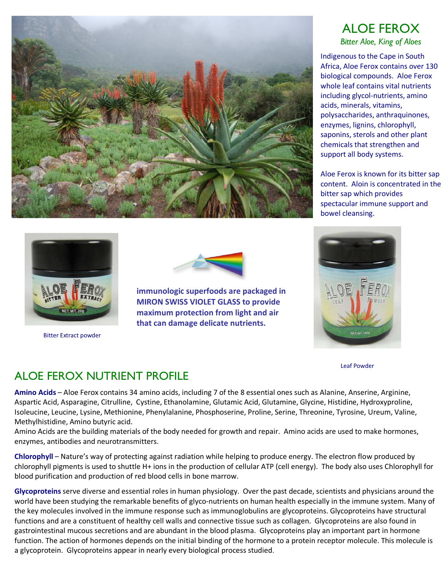

## ALOE FEROX

Bitter Aloe, King of Aloes

Indigenous to the Cape in South Africa, Aloe Ferox contains over 130 biological compounds. Aloe Ferox whole leaf contains vital nutrients including glycol-nutrients, amino acids, minerals, vitamins, polysaccharides, anthraquinones, enzymes, lignins, chlorophyll, saponins, sterols and other plant chemicals that strengthen and support all body systems.

Aloe Ferox is known for its bitter sap content. Aloin is concentrated in the bitter sap which provides spectacular immune support and bowel cleansing.



Bitter Extract powder



 immunologic superfoods are packaged in MIRON SWISS VIOLET GLASS to provide maximum protection from light and air that can damage delicate nutrients.



Leaf Powder

## ALOE FEROX NUTRIENT PROFILE

Amino Acids – Aloe Ferox contains 34 amino acids, including 7 of the 8 essential ones such as Alanine, Anserine, Arginine, Aspartic Acid, Asparagine, Citrulline, Cystine, Ethanolamine, Glutamic Acid, Glutamine, Glycine, Histidine, Hydroxyproline, Isoleucine, Leucine, Lysine, Methionine, Phenylalanine, Phosphoserine, Proline, Serine, Threonine, Tyrosine, Ureum, Valine, Methylhistidine, Amino butyric acid.

Amino Acids are the building materials of the body needed for growth and repair. Amino acids are used to make hormones, enzymes, antibodies and neurotransmitters.

Chlorophyll – Nature's way of protecting against radiation while helping to produce energy. The electron flow produced by chlorophyll pigments is used to shuttle H+ ions in the production of cellular ATP (cell energy). The body also uses Chlorophyll for blood purification and production of red blood cells in bone marrow.

Glycoproteins serve diverse and essential roles in human physiology. Over the past decade, scientists and physicians around the world have been studying the remarkable benefits of glyco-nutrients on human health especially in the immune system. Many of the key molecules involved in the immune response such as immunoglobulins are glycoproteins. Glycoproteins have structural functions and are a constituent of healthy cell walls and connective tissue such as collagen. Glycoproteins are also found in gastrointestinal mucous secretions and are abundant in the blood plasma. Glycoproteins play an important part in hormone function. The action of hormones depends on the initial binding of the hormone to a protein receptor molecule. This molecule is a glycoprotein. Glycoproteins appear in nearly every biological process studied.